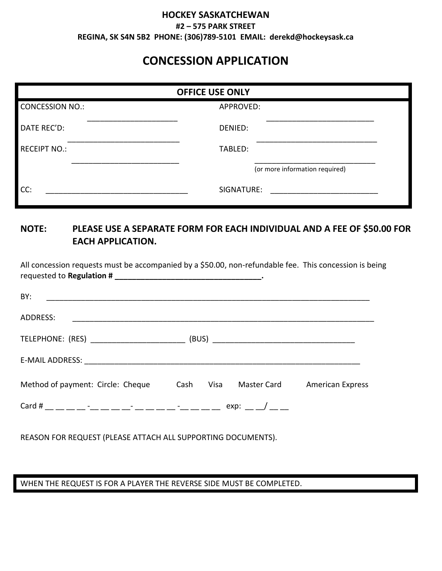## **HOCKEY SASKATCHEWAN #2 – 575 PARK STREET REGINA, SK S4N 5B2 PHONE: (306)789-5101 EMAIL: derekd@hockeysask.ca**

## **CONCESSION APPLICATION**

| <b>OFFICE USE ONLY</b> |                                |  |  |  |
|------------------------|--------------------------------|--|--|--|
| <b>CONCESSION NO.:</b> | APPROVED:                      |  |  |  |
| DATE REC'D:            | DENIED:                        |  |  |  |
| <b>RECEIPT NO.:</b>    | TABLED:                        |  |  |  |
|                        | (or more information required) |  |  |  |
| CC:                    | SIGNATURE:                     |  |  |  |

## **NOTE: PLEASE USE A SEPARATE FORM FOR EACH INDIVIDUAL AND A FEE OF \$50.00 FOR EACH APPLICATION.**

| All concession requests must be accompanied by a \$50.00, non-refundable fee. This concession is being                                                                                                                               |      |                  |                         |
|--------------------------------------------------------------------------------------------------------------------------------------------------------------------------------------------------------------------------------------|------|------------------|-------------------------|
| BY: <u>contract the contract of the contract of the contract of the contract of the contract of the contract of the contract of the contract of the contract of the contract of the contract of the contract of the contract of </u> |      |                  |                         |
| ADDRESS:                                                                                                                                                                                                                             |      |                  |                         |
|                                                                                                                                                                                                                                      |      |                  |                         |
|                                                                                                                                                                                                                                      |      |                  |                         |
| Method of payment: Circle: Cheque                                                                                                                                                                                                    | Cash | Visa Master Card | <b>American Express</b> |
|                                                                                                                                                                                                                                      |      |                  |                         |
|                                                                                                                                                                                                                                      |      |                  |                         |

REASON FOR REQUEST (PLEASE ATTACH ALL SUPPORTING DOCUMENTS).

## WHEN THE REQUEST IS FOR A PLAYER THE REVERSE SIDE MUST BE COMPLETED.